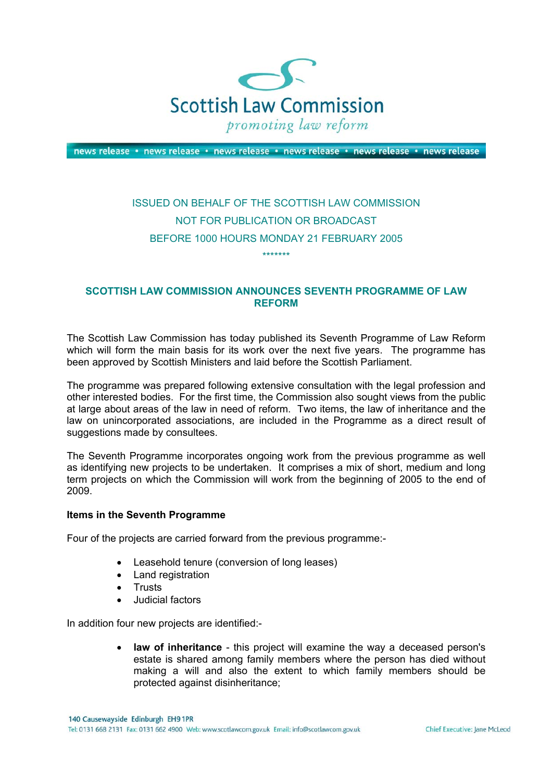

news release · news release · news release · news release · news release · news release

# ISSUED ON BEHALF OF THE SCOTTISH LAW COMMISSION NOT FOR PUBLICATION OR BROADCAST BEFORE 1000 HOURS MONDAY 21 FEBRUARY 2005 \*\*\*\*\*\*\*

# **SCOTTISH LAW COMMISSION ANNOUNCES SEVENTH PROGRAMME OF LAW REFORM**

The Scottish Law Commission has today published its Seventh Programme of Law Reform which will form the main basis for its work over the next five years. The programme has been approved by Scottish Ministers and laid before the Scottish Parliament.

The programme was prepared following extensive consultation with the legal profession and other interested bodies. For the first time, the Commission also sought views from the public at large about areas of the law in need of reform. Two items, the law of inheritance and the law on unincorporated associations, are included in the Programme as a direct result of suggestions made by consultees.

The Seventh Programme incorporates ongoing work from the previous programme as well as identifying new projects to be undertaken. It comprises a mix of short, medium and long term projects on which the Commission will work from the beginning of 2005 to the end of 2009.

# **Items in the Seventh Programme**

Four of the projects are carried forward from the previous programme:-

- Leasehold tenure (conversion of long leases)
- Land registration
- Trusts
- Judicial factors

In addition four new projects are identified:-

• **law of inheritance** - this project will examine the way a deceased person's estate is shared among family members where the person has died without making a will and also the extent to which family members should be protected against disinheritance;